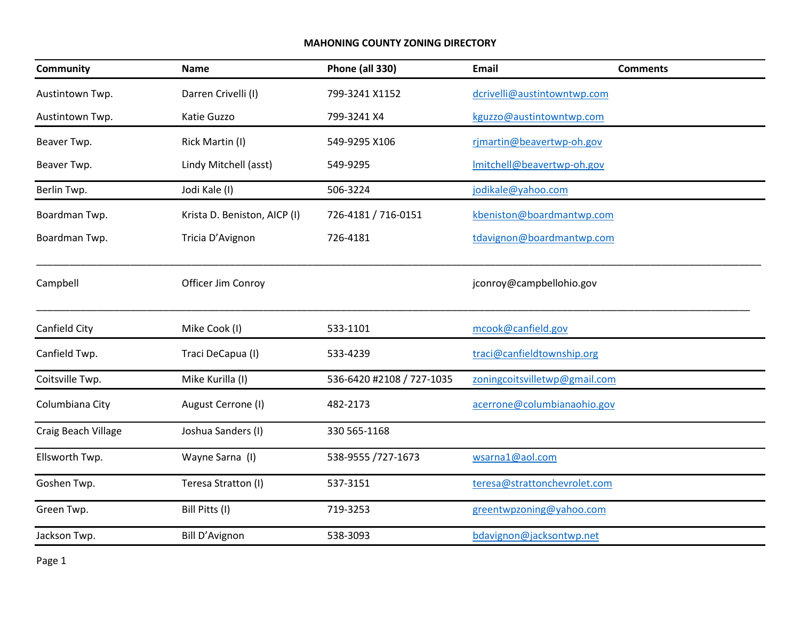## **MAHONING COUNTY ZONING DIRECTORY**

| <b>Community</b>    | Name                         | <b>Phone (all 330)</b>    | Email                         | <b>Comments</b> |
|---------------------|------------------------------|---------------------------|-------------------------------|-----------------|
| Austintown Twp.     | Darren Crivelli (I)          | 799-3241 X1152            | dcrivelli@austintowntwp.com   |                 |
| Austintown Twp.     | Katie Guzzo                  | 799-3241 X4               | kguzzo@austintowntwp.com      |                 |
| Beaver Twp.         | Rick Martin (I)              | 549-9295 X106             | rjmartin@beavertwp-oh.gov     |                 |
| Beaver Twp.         | Lindy Mitchell (asst)        | 549-9295                  | Imitchell@beavertwp-oh.gov    |                 |
| Berlin Twp.         | Jodi Kale (I)                | 506-3224                  | jodikale@yahoo.com            |                 |
| Boardman Twp.       | Krista D. Beniston, AICP (I) | 726-4181 / 716-0151       | kbeniston@boardmantwp.com     |                 |
| Boardman Twp.       | Tricia D'Avignon             | 726-4181                  | tdavignon@boardmantwp.com     |                 |
| Campbell            | Officer Jim Conroy           |                           | jconroy@campbellohio.gov      |                 |
| Canfield City       | Mike Cook (I)                | 533-1101                  | mcook@canfield.gov            |                 |
| Canfield Twp.       | Traci DeCapua (I)            | 533-4239                  | traci@canfieldtownship.org    |                 |
| Coitsville Twp.     | Mike Kurilla (I)             | 536-6420 #2108 / 727-1035 | zoningcoitsvilletwp@gmail.com |                 |
| Columbiana City     | August Cerrone (I)           | 482-2173                  | acerrone@columbianaohio.gov   |                 |
| Craig Beach Village | Joshua Sanders (I)           | 330 565-1168              |                               |                 |
| Ellsworth Twp.      | Wayne Sarna (I)              | 538-9555 /727-1673        | wsarna1@aol.com               |                 |
| Goshen Twp.         | Teresa Stratton (I)          | 537-3151                  | teresa@strattonchevrolet.com  |                 |
| Green Twp.          | Bill Pitts (I)               | 719-3253                  | greentwpzoning@yahoo.com      |                 |
| Jackson Twp.        | Bill D'Avignon               | 538-3093                  | bdavignon@jacksontwp.net      |                 |

Page 1